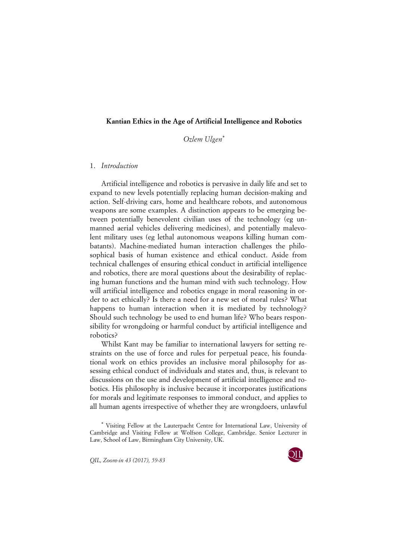## **Kantian Ethics in the Age of Artificial Intelligence and Robotics**

*Ozlem Ulgen*\*

## 1. *Introduction*

Artificial intelligence and robotics is pervasive in daily life and set to expand to new levels potentially replacing human decision-making and action. Self-driving cars, home and healthcare robots, and autonomous weapons are some examples. A distinction appears to be emerging between potentially benevolent civilian uses of the technology (eg unmanned aerial vehicles delivering medicines), and potentially malevolent military uses (eg lethal autonomous weapons killing human combatants). Machine-mediated human interaction challenges the philosophical basis of human existence and ethical conduct. Aside from technical challenges of ensuring ethical conduct in artificial intelligence and robotics, there are moral questions about the desirability of replacing human functions and the human mind with such technology. How will artificial intelligence and robotics engage in moral reasoning in order to act ethically? Is there a need for a new set of moral rules? What happens to human interaction when it is mediated by technology? Should such technology be used to end human life? Who bears responsibility for wrongdoing or harmful conduct by artificial intelligence and robotics?

Whilst Kant may be familiar to international lawyers for setting restraints on the use of force and rules for perpetual peace, his foundational work on ethics provides an inclusive moral philosophy for assessing ethical conduct of individuals and states and, thus, is relevant to discussions on the use and development of artificial intelligence and robotics. His philosophy is inclusive because it incorporates justifications for morals and legitimate responses to immoral conduct, and applies to all human agents irrespective of whether they are wrongdoers, unlawful

*QIL, Zoom-in 43 (2017), 59-83*



<sup>\*</sup> Visiting Fellow at the Lauterpacht Centre for International Law, University of Cambridge and Visiting Fellow at Wolfson College, Cambridge. Senior Lecturer in Law, School of Law, Birmingham City University, UK.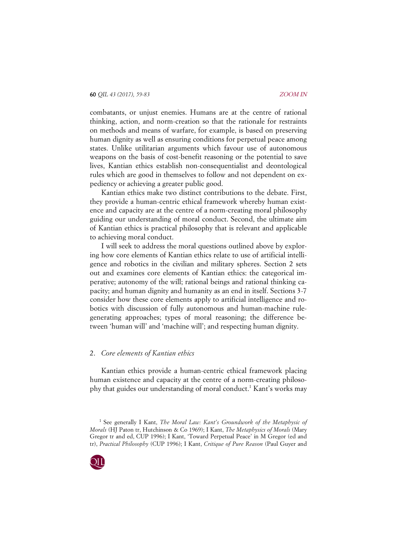combatants, or unjust enemies. Humans are at the centre of rational thinking, action, and norm-creation so that the rationale for restraints on methods and means of warfare, for example, is based on preserving human dignity as well as ensuring conditions for perpetual peace among states. Unlike utilitarian arguments which favour use of autonomous weapons on the basis of cost-benefit reasoning or the potential to save lives, Kantian ethics establish non-consequentialist and deontological rules which are good in themselves to follow and not dependent on expediency or achieving a greater public good.

Kantian ethics make two distinct contributions to the debate. First, they provide a human-centric ethical framework whereby human existence and capacity are at the centre of a norm-creating moral philosophy guiding our understanding of moral conduct. Second, the ultimate aim of Kantian ethics is practical philosophy that is relevant and applicable to achieving moral conduct.

I will seek to address the moral questions outlined above by exploring how core elements of Kantian ethics relate to use of artificial intelligence and robotics in the civilian and military spheres. Section 2 sets out and examines core elements of Kantian ethics: the categorical imperative; autonomy of the will; rational beings and rational thinking capacity; and human dignity and humanity as an end in itself. Sections 3-7 consider how these core elements apply to artificial intelligence and robotics with discussion of fully autonomous and human-machine rulegenerating approaches; types of moral reasoning; the difference between 'human will' and 'machine will'; and respecting human dignity.

# 2. *Core elements of Kantian ethics*

Kantian ethics provide a human-centric ethical framework placing human existence and capacity at the centre of a norm-creating philosophy that guides our understanding of moral conduct.<sup>1</sup> Kant's works may

<sup>&</sup>lt;sup>1</sup> See generally I Kant, *The Moral Law: Kant's Groundwork of the Metaphysic of Morals* (HJ Paton tr, Hutchinson & Co 1969); I Kant, *The Metaphysics of Morals* (Mary Gregor tr and ed, CUP 1996); I Kant, 'Toward Perpetual Peace' in M Gregor (ed and tr), *Practical Philosophy* (CUP 1996); I Kant, *Critique of Pure Reason* (Paul Guyer and

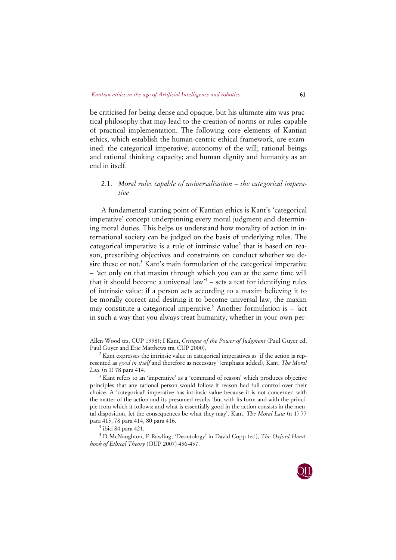be criticised for being dense and opaque, but his ultimate aim was practical philosophy that may lead to the creation of norms or rules capable of practical implementation. The following core elements of Kantian ethics, which establish the human-centric ethical framework, are examined: the categorical imperative; autonomy of the will; rational beings and rational thinking capacity; and human dignity and humanity as an end in itself.

# 2.1. *Moral rules capable of universalisation – the categorical imperative*

A fundamental starting point of Kantian ethics is Kant's 'categorical imperative' concept underpinning every moral judgment and determining moral duties. This helps us understand how morality of action in international society can be judged on the basis of underlying rules. The categorical imperative is a rule of intrinsic value<sup>2</sup> that is based on reason, prescribing objectives and constraints on conduct whether we desire these or not.<sup>3</sup> Kant's main formulation of the categorical imperative – 'act only on that maxim through which you can at the same time will that it should become a universal law<sup>4</sup> – sets a test for identifying rules of intrinsic value: if a person acts according to a maxim believing it to be morally correct and desiring it to become universal law, the maxim may constitute a categorical imperative.<sup>5</sup> Another formulation is  $-$  'act in such a way that you always treat humanity, whether in your own per-

Allen Wood trs, CUP 1998); I Kant, *Critique of the Power of Judgment* (Paul Guyer ed, Paul Guyer and Eric Matthews trs, CUP 2000).

 $2$  Kant expresses the intrinsic value in categorical imperatives as 'if the action is represented as *good in itself* and therefore as necessary' (emphasis added), Kant, *The Moral Law* (n 1) 78 para 414.

<sup>3</sup> Kant refers to an 'imperative' as a 'command of reason' which produces objective principles that any rational person would follow if reason had full control over their choice. A 'categorical' imperative has intrinsic value because it is not concerned with the matter of the action and its presumed results 'but with its form and with the principle from which it follows; and what is essentially good in the action consists in the mental disposition, let the consequences be what they may'. Kant, *The Moral Law* (n 1) 77 para 413, 78 para 414, 80 para 416.

<sup>4</sup> ibid 84 para 421.

<sup>5</sup> D McNaughton, P Rawling, 'Deontology' in David Copp (ed), *The Oxford Handbook of Ethical Theory* (OUP 2007) 436-437.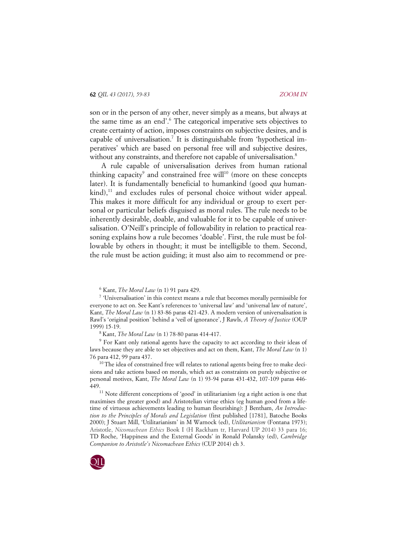son or in the person of any other, never simply as a means, but always at the same time as an end'. <sup>6</sup> The categorical imperative sets objectives to create certainty of action, imposes constraints on subjective desires, and is capable of universalisation.<sup>7</sup> It is distinguishable from 'hypothetical imperatives' which are based on personal free will and subjective desires, without any constraints, and therefore not capable of universalisation.<sup>8</sup>

A rule capable of universalisation derives from human rational thinking capacity<sup>9</sup> and constrained free will<sup>10</sup> (more on these concepts later). It is fundamentally beneficial to humankind (good *qua* human $kind$ ,<sup>11</sup> and excludes rules of personal choice without wider appeal. This makes it more difficult for any individual or group to exert personal or particular beliefs disguised as moral rules. The rule needs to be inherently desirable, doable, and valuable for it to be capable of universalisation. O'Neill's principle of followability in relation to practical reasoning explains how a rule becomes 'doable'. First, the rule must be followable by others in thought; it must be intelligible to them. Second, the rule must be action guiding; it must also aim to recommend or pre-

<sup>6</sup> Kant, *The Moral Law* (n 1) 91 para 429.

<sup>7</sup> 'Universalisation' in this context means a rule that becomes morally permissible for everyone to act on. See Kant's references to 'universal law' and 'universal law of nature', Kant, *The Moral Law* (n 1) 83-86 paras 421-423. A modern version of universalisation is Rawl's 'original position' behind a 'veil of ignorance', J Rawls, *A Theory of Justice* (OUP 1999) 15-19.

<sup>8</sup> Kant, *The Moral Law* (n 1) 78-80 paras 414-417.

<sup>9</sup> For Kant only rational agents have the capacity to act according to their ideas of laws because they are able to set objectives and act on them, Kant, *The Moral Law* (n 1) 76 para 412, 99 para 437.

 $10$  The idea of constrained free will relates to rational agents being free to make decisions and take actions based on morals, which act as constraints on purely subjective or personal motives, Kant, *The Moral Law* (n 1) 93-94 paras 431-432, 107-109 paras 446- 449.

 $11$  Note different conceptions of 'good' in utilitarianism (eg a right action is one that maximises the greater good) and Aristotelian virtue ethics (eg human good from a lifetime of virtuous achievements leading to human flourishing): J Bentham, *An Introduction to the Principles of Morals and Legislation* (first published [1781], Batoche Books 2000); J Stuart Mill, 'Utilitarianism' in M Warnock (ed), *Utilitarianism* (Fontana 1973); Aristotle, *Nicomachean Ethics* Book I (H Rackham tr, Harvard UP 2014) 33 para 16; TD Roche, 'Happiness and the External Goods' in Ronald Polansky (ed), *Cambridge Companion to Aristotle's Nicomachean Ethics* (CUP 2014) ch 3.

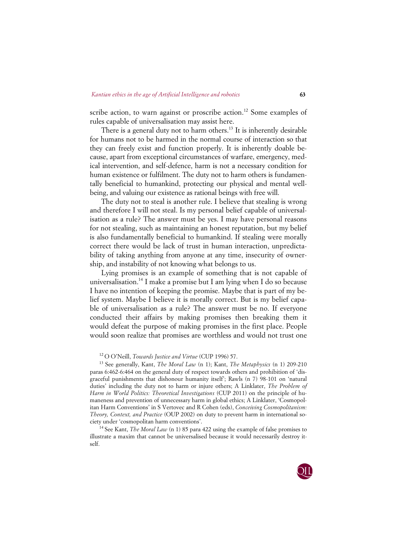scribe action, to warn against or proscribe action.<sup>12</sup> Some examples of rules capable of universalisation may assist here.

There is a general duty not to harm others.<sup>13</sup> It is inherently desirable for humans not to be harmed in the normal course of interaction so that they can freely exist and function properly. It is inherently doable because, apart from exceptional circumstances of warfare, emergency, medical intervention, and self-defence, harm is not a necessary condition for human existence or fulfilment. The duty not to harm others is fundamentally beneficial to humankind, protecting our physical and mental wellbeing, and valuing our existence as rational beings with free will.

The duty not to steal is another rule. I believe that stealing is wrong and therefore I will not steal. Is my personal belief capable of universalisation as a rule? The answer must be yes. I may have personal reasons for not stealing, such as maintaining an honest reputation, but my belief is also fundamentally beneficial to humankind. If stealing were morally correct there would be lack of trust in human interaction, unpredictability of taking anything from anyone at any time, insecurity of ownership, and instability of not knowing what belongs to us.

Lying promises is an example of something that is not capable of universalisation.<sup>14</sup> I make a promise but I am lying when I do so because I have no intention of keeping the promise. Maybe that is part of my belief system. Maybe I believe it is morally correct. But is my belief capable of universalisation as a rule? The answer must be no. If everyone conducted their affairs by making promises then breaking them it would defeat the purpose of making promises in the first place. People would soon realize that promises are worthless and would not trust one

<sup>13</sup> See generally, Kant, *The Moral Law* (n 1); Kant, *The Metaphysics* (n 1) 209-210 paras 6:462-6:464 on the general duty of respect towards others and prohibition of 'disgraceful punishments that dishonour humanity itself'; Rawls (n 7) 98-101 on 'natural duties' including the duty not to harm or injure others; A Linklater, *The Problem of Harm in World Politics: Theoretical Investigations* (CUP 2011) on the principle of humaneness and prevention of unnecessary harm in global ethics; A Linklater, 'Cosmopolitan Harm Conventions' in S Vertovec and R Cohen (eds), *Conceiving Cosmopolitanism: Theory, Context, and Practice* (OUP 2002) on duty to prevent harm in international society under 'cosmopolitan harm conventions'.

<sup>14</sup> See Kant, *The Moral Law* (n 1) 85 para 422 using the example of false promises to illustrate a maxim that cannot be universalised because it would necessarily destroy itself.



<sup>12</sup> O O'Neill, *Towards Justice and Virtue* (CUP 1996) 57.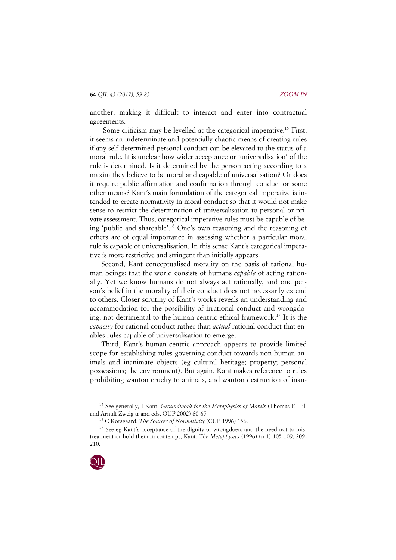another, making it difficult to interact and enter into contractual agreements.

Some criticism may be levelled at the categorical imperative.15 First, it seems an indeterminate and potentially chaotic means of creating rules if any self-determined personal conduct can be elevated to the status of a moral rule. It is unclear how wider acceptance or 'universalisation' of the rule is determined. Is it determined by the person acting according to a maxim they believe to be moral and capable of universalisation? Or does it require public affirmation and confirmation through conduct or some other means? Kant's main formulation of the categorical imperative is intended to create normativity in moral conduct so that it would not make sense to restrict the determination of universalisation to personal or private assessment. Thus, categorical imperative rules must be capable of being 'public and shareable'.16 One's own reasoning and the reasoning of others are of equal importance in assessing whether a particular moral rule is capable of universalisation. In this sense Kant's categorical imperative is more restrictive and stringent than initially appears.

Second, Kant conceptualised morality on the basis of rational human beings; that the world consists of humans *capable* of acting rationally. Yet we know humans do not always act rationally, and one person's belief in the morality of their conduct does not necessarily extend to others. Closer scrutiny of Kant's works reveals an understanding and accommodation for the possibility of irrational conduct and wrongdoing, not detrimental to the human-centric ethical framework.<sup>17</sup> It is the *capacity* for rational conduct rather than *actual* rational conduct that enables rules capable of universalisation to emerge.

Third, Kant's human-centric approach appears to provide limited scope for establishing rules governing conduct towards non-human animals and inanimate objects (eg cultural heritage; property; personal possessions; the environment). But again, Kant makes reference to rules prohibiting wanton cruelty to animals, and wanton destruction of inan-

 $17$  See eg Kant's acceptance of the dignity of wrongdoers and the need not to mistreatment or hold them in contempt, Kant, *The Metaphysics* (1996) (n 1) 105-109, 209- 210.



<sup>15</sup> See generally, I Kant, *Groundwork for the Metaphysics of Morals* (Thomas E Hill and Arnulf Zweig tr and eds, OUP 2002) 60-65.

<sup>16</sup> C Korsgaard, *The Sources of Normativity* (CUP 1996) 136.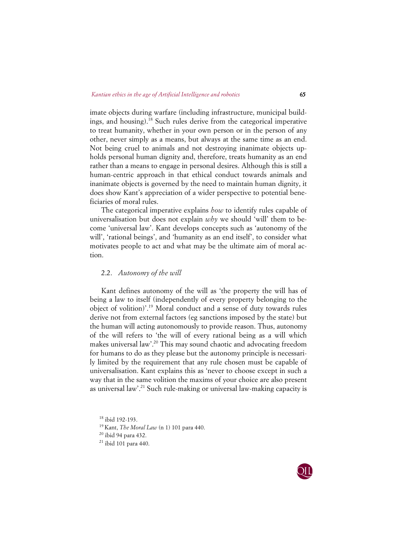imate objects during warfare (including infrastructure, municipal buildings, and housing).18 Such rules derive from the categorical imperative to treat humanity, whether in your own person or in the person of any other, never simply as a means, but always at the same time as an end. Not being cruel to animals and not destroying inanimate objects upholds personal human dignity and, therefore, treats humanity as an end rather than a means to engage in personal desires. Although this is still a human-centric approach in that ethical conduct towards animals and inanimate objects is governed by the need to maintain human dignity, it does show Kant's appreciation of a wider perspective to potential beneficiaries of moral rules.

The categorical imperative explains *how* to identify rules capable of universalisation but does not explain *why* we should 'will' them to become 'universal law'. Kant develops concepts such as 'autonomy of the will', 'rational beings', and 'humanity as an end itself', to consider what motivates people to act and what may be the ultimate aim of moral action.

## 2.2. *Autonomy of the will*

Kant defines autonomy of the will as 'the property the will has of being a law to itself (independently of every property belonging to the object of volition)'. <sup>19</sup> Moral conduct and a sense of duty towards rules derive not from external factors (eg sanctions imposed by the state) but the human will acting autonomously to provide reason. Thus, autonomy of the will refers to 'the will of every rational being as a will which makes universal law'. <sup>20</sup> This may sound chaotic and advocating freedom for humans to do as they please but the autonomy principle is necessarily limited by the requirement that any rule chosen must be capable of universalisation. Kant explains this as 'never to choose except in such a way that in the same volition the maxims of your choice are also present as universal law'. <sup>21</sup> Such rule-making or universal law-making capacity is

 ibid 192-193. Kant, *The Moral Law* (n 1) 101 para 440. ibid 94 para 432. ibid 101 para 440.

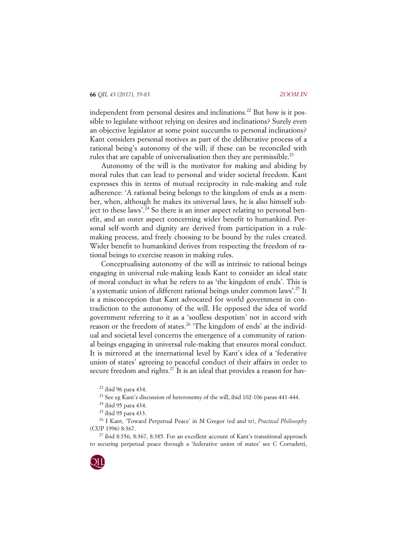independent from personal desires and inclinations.<sup>22</sup> But how is it possible to legislate without relying on desires and inclinations? Surely even an objective legislator at some point succumbs to personal inclinations? Kant considers personal motives as part of the deliberative process of a rational being's autonomy of the will; if these can be reconciled with rules that are capable of universalisation then they are permissible.<sup>23</sup>

Autonomy of the will is the motivator for making and abiding by moral rules that can lead to personal and wider societal freedom. Kant expresses this in terms of mutual reciprocity in rule-making and rule adherence: 'A rational being belongs to the kingdom of ends as a member, when, although he makes its universal laws, he is also himself subject to these laws'. <sup>24</sup> So there is an inner aspect relating to personal benefit, and an outer aspect concerning wider benefit to humankind. Personal self-worth and dignity are derived from participation in a rulemaking process, and freely choosing to be bound by the rules created. Wider benefit to humankind derives from respecting the freedom of rational beings to exercise reason in making rules.

Conceptualising autonomy of the will as intrinsic to rational beings engaging in universal rule-making leads Kant to consider an ideal state of moral conduct in what he refers to as 'the kingdom of ends'. This is 'a systematic union of different rational beings under common laws'. <sup>25</sup> It is a misconception that Kant advocated for world government in contradiction to the autonomy of the will. He opposed the idea of world government referring to it as a 'soulless despotism' not in accord with reason or the freedom of states.<sup>26</sup> 'The kingdom of ends' at the individual and societal level concerns the emergence of a community of rational beings engaging in universal rule-making that ensures moral conduct. It is mirrored at the international level by Kant's idea of a 'federative union of states' agreeing to peaceful conduct of their affairs in order to secure freedom and rights.<sup>27</sup> It is an ideal that provides a reason for hav-

<sup>22</sup> ibid 96 para 434.

 $^{27}$  ibid 8:356, 8:367, 8:385. For an excellent account of Kant's transitional approach to securing perpetual peace through a 'federative union of states' see C Corradetti,



<sup>&</sup>lt;sup>23</sup> See eg Kant's discussion of heteronomy of the will, ibid 102-106 paras 441-444.

<sup>24</sup> ibid 95 para 434.

<sup>25</sup> ibid 95 para 433.

<sup>26</sup> I Kant, 'Toward Perpetual Peace' in M Gregor (ed and tr), *Practical Philosophy* (CUP 1996) 8:367.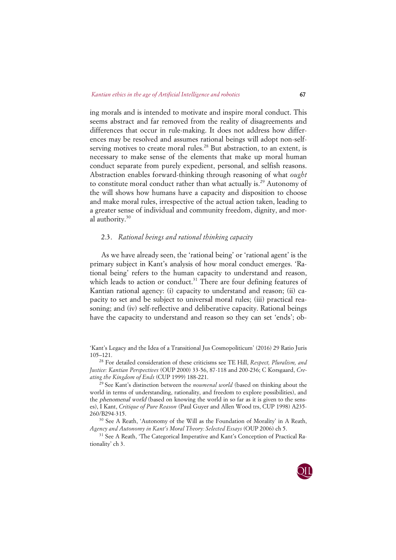ing morals and is intended to motivate and inspire moral conduct. This seems abstract and far removed from the reality of disagreements and differences that occur in rule-making. It does not address how differences may be resolved and assumes rational beings will adopt non-selfserving motives to create moral rules.<sup>28</sup> But abstraction, to an extent, is necessary to make sense of the elements that make up moral human conduct separate from purely expedient, personal, and selfish reasons. Abstraction enables forward-thinking through reasoning of what *ought* to constitute moral conduct rather than what actually is.<sup>29</sup> Autonomy of the will shows how humans have a capacity and disposition to choose and make moral rules, irrespective of the actual action taken, leading to a greater sense of individual and community freedom, dignity, and moral authority.<sup>30</sup>

## 2.3. *Rational beings and rational thinking capacity*

As we have already seen, the 'rational being' or 'rational agent' is the primary subject in Kant's analysis of how moral conduct emerges. 'Rational being' refers to the human capacity to understand and reason, which leads to action or conduct.<sup>31</sup> There are four defining features of Kantian rational agency: (i) capacity to understand and reason; (ii) capacity to set and be subject to universal moral rules; (iii) practical reasoning; and (iv) self-reflective and deliberative capacity. Rational beings have the capacity to understand and reason so they can set 'ends'; ob-

'Kant's Legacy and the Idea of a Transitional Jus Cosmopoliticum' (2016) 29 Ratio Juris 105–121.

<sup>28</sup> For detailed consideration of these criticisms see TE Hill, *Respect, Pluralism, and Justice: Kantian Perspectives* (OUP 2000) 33-56, 87-118 and 200-236; C Korsgaard, *Creating the Kingdom of Ends* (CUP 1999) 188-221.

<sup>29</sup> See Kant's distinction between the *noumenal world* (based on thinking about the world in terms of understanding, rationality, and freedom to explore possibilities), and the phenomenal world (based on knowing the world in so far as it is given to the senses), I Kant, *Critique of Pure Reason* (Paul Guyer and Allen Wood trs, CUP 1998) A235- 260/B294-315.

<sup>30</sup> See A Reath, 'Autonomy of the Will as the Foundation of Morality' in A Reath, *Agency and Autonomy in Kant's Moral Theory: Selected Essays* (OUP 2006) ch 5.

<sup>31</sup> See A Reath, 'The Categorical Imperative and Kant's Conception of Practical Rationality' ch 3.

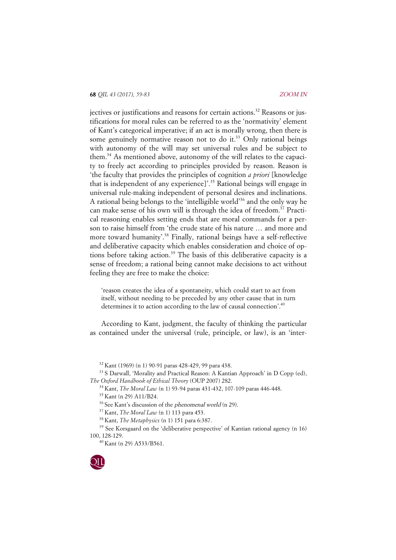jectives or justifications and reasons for certain actions.<sup>32</sup> Reasons or justifications for moral rules can be referred to as the 'normativity' element of Kant's categorical imperative; if an act is morally wrong, then there is some genuinely normative reason not to do it.<sup>33</sup> Only rational beings with autonomy of the will may set universal rules and be subject to them.34 As mentioned above, autonomy of the will relates to the capacity to freely act according to principles provided by reason. Reason is 'the faculty that provides the principles of cognition *a priori* [knowledge that is independent of any experience]'. <sup>35</sup> Rational beings will engage in universal rule-making independent of personal desires and inclinations. A rational being belongs to the 'intelligible world' <sup>36</sup> and the only way he can make sense of his own will is through the idea of freedom.<sup>37</sup> Practical reasoning enables setting ends that are moral commands for a person to raise himself from 'the crude state of his nature … and more and more toward humanity'. <sup>38</sup> Finally, rational beings have a self-reflective and deliberative capacity which enables consideration and choice of options before taking action.<sup>39</sup> The basis of this deliberative capacity is a sense of freedom; a rational being cannot make decisions to act without feeling they are free to make the choice:

'reason creates the idea of a spontaneity, which could start to act from itself, without needing to be preceded by any other cause that in turn determines it to action according to the law of causal connection'.<sup>40</sup>

According to Kant, judgment, the faculty of thinking the particular as contained under the universal (rule, principle, or law), is an 'inter-

<sup>32</sup> Kant (1969) (n 1) 90-91 paras 428-429, 99 para 438.

<sup>33</sup> S Darwall, 'Morality and Practical Reason: A Kantian Approach' in D Copp (ed), *The Oxford Handbook of Ethical Theory* (OUP 2007) 282.

<sup>34</sup> Kant, *The Moral Law* (n 1) 93-94 paras 431-432, 107-109 paras 446-448.

<sup>37</sup> Kant, *The Moral Law* (n 1) 113 para 453.

<sup>39</sup> See Korsgaard on the 'deliberative perspective' of Kantian rational agency (n 16) 100, 128-129.

<sup>40</sup> Kant (n 29) A533/B561.



<sup>35</sup> Kant (n 29) A11/B24.

 $36$  See Kant's discussion of the *phenomenal world* (n 29).

<sup>38</sup> Kant, *The Metaphysics* (n 1) 151 para 6:387.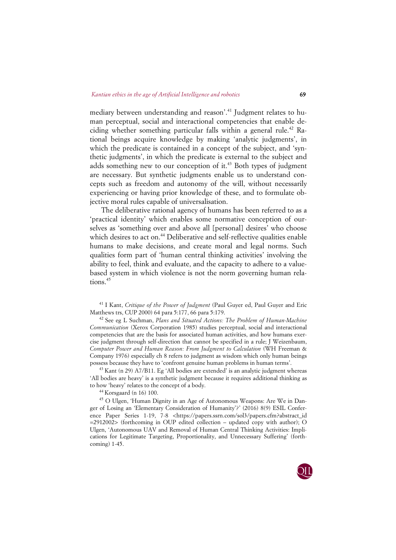mediary between understanding and reason'. <sup>41</sup> Judgment relates to human perceptual, social and interactional competencies that enable deciding whether something particular falls within a general rule.<sup>42</sup> Rational beings acquire knowledge by making 'analytic judgments', in which the predicate is contained in a concept of the subject, and 'synthetic judgments', in which the predicate is external to the subject and adds something new to our conception of it.<sup>43</sup> Both types of judgment are necessary. But synthetic judgments enable us to understand concepts such as freedom and autonomy of the will, without necessarily experiencing or having prior knowledge of these, and to formulate objective moral rules capable of universalisation.

The deliberative rational agency of humans has been referred to as a 'practical identity' which enables some normative conception of ourselves as 'something over and above all [personal] desires' who choose which desires to act on.<sup>44</sup> Deliberative and self-reflective qualities enable humans to make decisions, and create moral and legal norms. Such qualities form part of 'human central thinking activities' involving the ability to feel, think and evaluate, and the capacity to adhere to a valuebased system in which violence is not the norm governing human relations.<sup>45</sup>

<sup>41</sup> I Kant, *Critique of the Power of Judgment* (Paul Guyer ed, Paul Guyer and Eric Matthews trs, CUP 2000) 64 para 5:177, 66 para 5:179.

<sup>42</sup> See eg L Suchman, *Plans and Situated Actions: The Problem of Human-Machine Communication* (Xerox Corporation 1985) studies perceptual, social and interactional competencies that are the basis for associated human activities, and how humans exercise judgment through self-direction that cannot be specified in a rule; J Weizenbaum, *Computer Power and Human Reason: From Judgment to Calculation* (WH Freeman & Company 1976) especially ch 8 refers to judgment as wisdom which only human beings possess because they have to 'confront genuine human problems in human terms'.

 $43$  Kant (n 29) A7/B11. Eg 'All bodies are extended' is an analytic judgment whereas 'All bodies are heavy' is a synthetic judgment because it requires additional thinking as to how 'heavy' relates to the concept of a body.

<sup>44</sup> Korsgaard (n 16) 100.

<sup>45</sup> O Ulgen, 'Human Dignity in an Age of Autonomous Weapons: Are We in Danger of Losing an 'Elementary Consideration of Humanity'?' (2016) 8(9) ESIL Conference Paper Series 1-19, 7-8 <https://papers.ssrn.com/sol3/papers.cfm?abstract\_id =2912002> (forthcoming in OUP edited collection – updated copy with author); O Ulgen, 'Autonomous UAV and Removal of Human Central Thinking Activities: Implications for Legitimate Targeting, Proportionality, and Unnecessary Suffering' (forthcoming) 1-45.

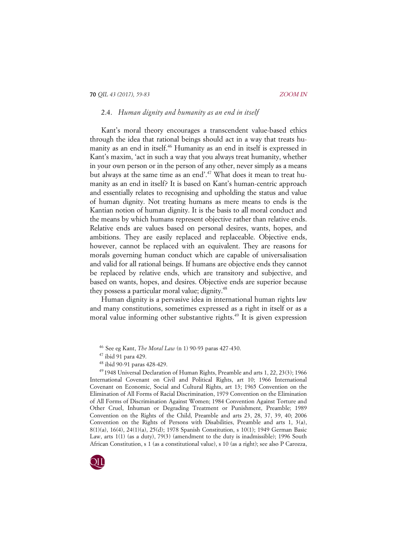## 2.4. *Human dignity and humanity as an end in itself*

Kant's moral theory encourages a transcendent value-based ethics through the idea that rational beings should act in a way that treats humanity as an end in itself.<sup>46</sup> Humanity as an end in itself is expressed in Kant's maxim, 'act in such a way that you always treat humanity, whether in your own person or in the person of any other, never simply as a means but always at the same time as an end'.<sup>47</sup> What does it mean to treat humanity as an end in itself? It is based on Kant's human-centric approach and essentially relates to recognising and upholding the status and value of human dignity. Not treating humans as mere means to ends is the Kantian notion of human dignity. It is the basis to all moral conduct and the means by which humans represent objective rather than relative ends. Relative ends are values based on personal desires, wants, hopes, and ambitions. They are easily replaced and replaceable. Objective ends, however, cannot be replaced with an equivalent. They are reasons for morals governing human conduct which are capable of universalisation and valid for all rational beings. If humans are objective ends they cannot be replaced by relative ends, which are transitory and subjective, and based on wants, hopes, and desires. Objective ends are superior because they possess a particular moral value; dignity.<sup>48</sup>

Human dignity is a pervasive idea in international human rights law and many constitutions, sometimes expressed as a right in itself or as a moral value informing other substantive rights.<sup>49</sup> It is given expression

<sup>49</sup> 1948 Universal Declaration of Human Rights, Preamble and arts 1, 22, 23(3); 1966 International Covenant on Civil and Political Rights, art 10; 1966 International Covenant on Economic, Social and Cultural Rights, art 13; 1965 Convention on the Elimination of All Forms of Racial Discrimination, 1979 Convention on the Elimination of All Forms of Discrimination Against Women; 1984 Convention Against Torture and Other Cruel, Inhuman or Degrading Treatment or Punishment, Preamble; 1989 Convention on the Rights of the Child, Preamble and arts 23, 28, 37, 39, 40; 2006 Convention on the Rights of Persons with Disabilities, Preamble and arts 1, 3(a), 8(1)(a), 16(4), 24(1)(a), 25(d); 1978 Spanish Constitution, s 10(1); 1949 German Basic Law, arts 1(1) (as a duty), 79(3) (amendment to the duty is inadmissible); 1996 South African Constitution, s 1 (as a constitutional value), s 10 (as a right); see also P Carozza,



<sup>46</sup> See eg Kant, *The Moral Law* (n 1) 90-93 paras 427-430.

<sup>47</sup> ibid 91 para 429.

<sup>48</sup> ibid 90-91 paras 428-429.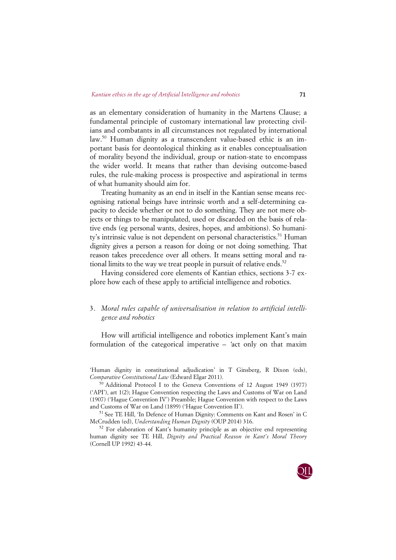as an elementary consideration of humanity in the Martens Clause; a fundamental principle of customary international law protecting civilians and combatants in all circumstances not regulated by international law.50 Human dignity as a transcendent value-based ethic is an important basis for deontological thinking as it enables conceptualisation of morality beyond the individual, group or nation-state to encompass the wider world. It means that rather than devising outcome-based rules, the rule-making process is prospective and aspirational in terms of what humanity should aim for.

Treating humanity as an end in itself in the Kantian sense means recognising rational beings have intrinsic worth and a self-determining capacity to decide whether or not to do something. They are not mere objects or things to be manipulated, used or discarded on the basis of relative ends (eg personal wants, desires, hopes, and ambitions). So humanity's intrinsic value is not dependent on personal characteristics.<sup>51</sup> Human dignity gives a person a reason for doing or not doing something. That reason takes precedence over all others. It means setting moral and rational limits to the way we treat people in pursuit of relative ends.<sup>52</sup>

Having considered core elements of Kantian ethics, sections 3-7 explore how each of these apply to artificial intelligence and robotics.

# 3. *Moral rules capable of universalisation in relation to artificial intelligence and robotics*

How will artificial intelligence and robotics implement Kant's main formulation of the categorical imperative – 'act only on that maxim

'Human dignity in constitutional adjudication' in T Ginsberg, R Dixon (eds), *Comparative Constitutional Law* (Edward Elgar 2011).

<sup>50</sup> Additional Protocol I to the Geneva Conventions of 12 August 1949 (1977) ('API'), art 1(2); Hague Convention respecting the Laws and Customs of War on Land (1907) ('Hague Convention IV') Preamble; Hague Convention with respect to the Laws and Customs of War on Land (1899) ('Hague Convention II').

<sup>51</sup> See TE Hill, 'In Defence of Human Dignity: Comments on Kant and Rosen' in C McCrudden (ed), *Understanding Human Dignity* (OUP 2014) 316.

<sup>52</sup> For elaboration of Kant's humanity principle as an objective end representing human dignity see TE Hill, *Dignity and Practical Reason in Kant's Moral Theory* (Cornell UP 1992) 43-44.

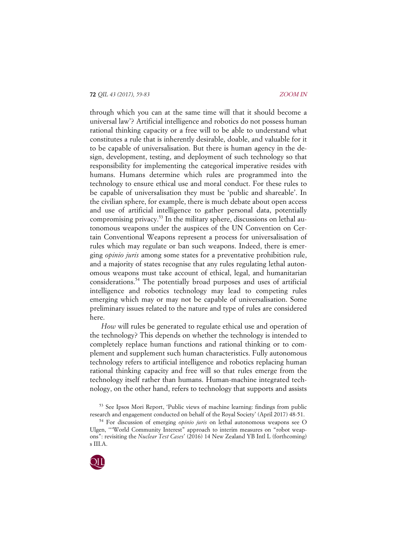through which you can at the same time will that it should become a universal law'? Artificial intelligence and robotics do not possess human rational thinking capacity or a free will to be able to understand what constitutes a rule that is inherently desirable, doable, and valuable for it to be capable of universalisation. But there is human agency in the design, development, testing, and deployment of such technology so that responsibility for implementing the categorical imperative resides with humans. Humans determine which rules are programmed into the technology to ensure ethical use and moral conduct. For these rules to be capable of universalisation they must be 'public and shareable'. In the civilian sphere, for example, there is much debate about open access and use of artificial intelligence to gather personal data, potentially compromising privacy.<sup>53</sup> In the military sphere, discussions on lethal autonomous weapons under the auspices of the UN Convention on Certain Conventional Weapons represent a process for universalisation of rules which may regulate or ban such weapons. Indeed, there is emerging *opinio juris* among some states for a preventative prohibition rule, and a majority of states recognise that any rules regulating lethal autonomous weapons must take account of ethical, legal, and humanitarian considerations. <sup>54</sup> The potentially broad purposes and uses of artificial intelligence and robotics technology may lead to competing rules emerging which may or may not be capable of universalisation. Some preliminary issues related to the nature and type of rules are considered here.

*How* will rules be generated to regulate ethical use and operation of the technology? This depends on whether the technology is intended to completely replace human functions and rational thinking or to complement and supplement such human characteristics. Fully autonomous technology refers to artificial intelligence and robotics replacing human rational thinking capacity and free will so that rules emerge from the technology itself rather than humans. Human-machine integrated technology, on the other hand, refers to technology that supports and assists

<sup>53</sup> See Ipsos Mori Report, 'Public views of machine learning: findings from public research and engagement conducted on behalf of the Royal Society' (April 2017) 48-51.

<sup>54</sup> For discussion of emerging *opinio juris* on lethal autonomous weapons see O Ulgen, '''World Community Interest" approach to interim measures on "robot weapons": revisiting the *Nuclear Test Cases*' (2016) 14 New Zealand YB Intl L (forthcoming) s III.A.

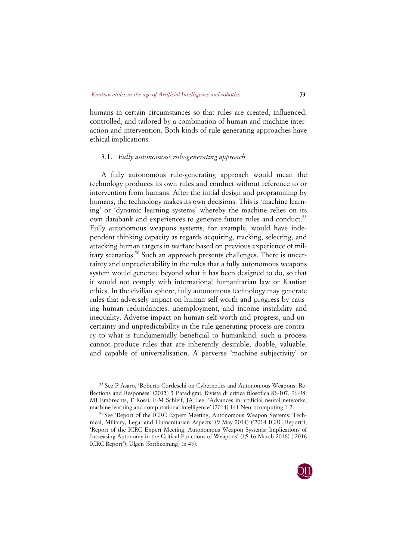humans in certain circumstances so that rules are created, influenced, controlled, and tailored by a combination of human and machine interaction and intervention. Both kinds of rule-generating approaches have ethical implications.

## 3.1. *Fully autonomous rule-generating approach*

A fully autonomous rule-generating approach would mean the technology produces its own rules and conduct without reference to or intervention from humans. After the initial design and programming by humans, the technology makes its own decisions. This is 'machine learning' or 'dynamic learning systems' whereby the machine relies on its own databank and experiences to generate future rules and conduct.<sup>55</sup> Fully autonomous weapons systems, for example, would have independent thinking capacity as regards acquiring, tracking, selecting, and attacking human targets in warfare based on previous experience of military scenarios.<sup>56</sup> Such an approach presents challenges. There is uncertainty and unpredictability in the rules that a fully autonomous weapons system would generate beyond what it has been designed to do, so that it would not comply with international humanitarian law or Kantian ethics. In the civilian sphere, fully autonomous technology may generate rules that adversely impact on human self-worth and progress by causing human redundancies, unemployment, and income instability and inequality. Adverse impact on human self-worth and progress, and uncertainty and unpredictability in the rule-generating process are contrary to what is fundamentally beneficial to humankind; such a process cannot produce rules that are inherently desirable, doable, valuable, and capable of universalisation. A perverse 'machine subjectivity' or

<sup>56</sup> See 'Report of the ICRC Expert Meeting, Autonomous Weapon Systems: Technical, Military, Legal and Humanitarian Aspects' (9 May 2014) ('2014 ICRC Report'); 'Report of the ICRC Expert Meeting, Autonomous Weapon Systems: Implications of Increasing Autonomy in the Critical Functions of Weapons' (15-16 March 2016) ('2016 ICRC Report'); Ulgen (forthcoming) (n 45).



<sup>55</sup> See P Asaro, 'Roberto Cordeschi on Cybernetics and Autonomous Weapons: Reflections and Responses' (2015) 3 Paradigmi. Rivista di critica filosofica 83-107, 96-98; MJ Embrechts, F Rossi, F-M Schleif, JA Lee, 'Advances in artificial neural networks, machine learning,and computational intelligence' (2014) 141 Neurocomputing 1-2.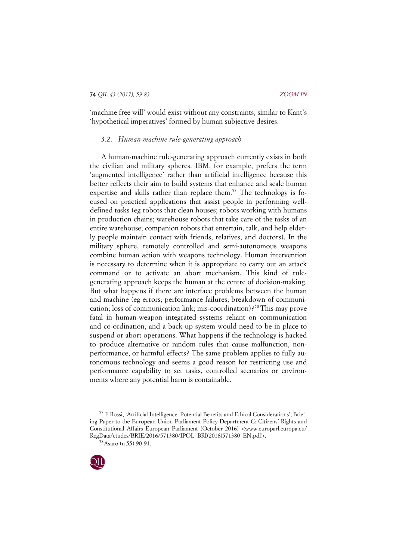'machine free will' would exist without any constraints, similar to Kant's 'hypothetical imperatives' formed by human subjective desires.

## 3.2. *Human-machine rule-generating approach*

A human-machine rule-generating approach currently exists in both the civilian and military spheres. IBM, for example, prefers the term 'augmented intelligence' rather than artificial intelligence because this better reflects their aim to build systems that enhance and scale human expertise and skills rather than replace them.<sup>57</sup> The technology is focused on practical applications that assist people in performing welldefined tasks (eg robots that clean houses; robots working with humans in production chains; warehouse robots that take care of the tasks of an entire warehouse; companion robots that entertain, talk, and help elderly people maintain contact with friends, relatives, and doctors). In the military sphere, remotely controlled and semi-autonomous weapons combine human action with weapons technology. Human intervention is necessary to determine when it is appropriate to carry out an attack command or to activate an abort mechanism. This kind of rulegenerating approach keeps the human at the centre of decision-making. But what happens if there are interface problems between the human and machine (eg errors; performance failures; breakdown of communication; loss of communication link; mis-coordination)?<sup>58</sup> This may prove fatal in human-weapon integrated systems reliant on communication and co-ordination, and a back-up system would need to be in place to suspend or abort operations. What happens if the technology is hacked to produce alternative or random rules that cause malfunction, nonperformance, or harmful effects? The same problem applies to fully autonomous technology and seems a good reason for restricting use and performance capability to set tasks, controlled scenarios or environments where any potential harm is containable.

<sup>57</sup> F Rossi, 'Artificial Intelligence: Potential Benefits and Ethical Considerations', Briefing Paper to the European Union Parliament Policy Department C: Citizens' Rights and Constitutional Affairs European Parliament (October 2016) <www.europarl.europa.eu/ RegData/etudes/BRIE/2016/571380/IPOL\_BRI(2016)571380\_EN.pdf>.

<sup>58</sup>Asaro (n 55) 90-91.

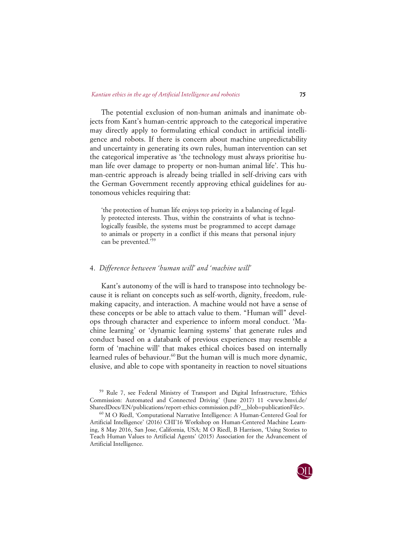The potential exclusion of non-human animals and inanimate objects from Kant's human-centric approach to the categorical imperative may directly apply to formulating ethical conduct in artificial intelligence and robots. If there is concern about machine unpredictability and uncertainty in generating its own rules, human intervention can set the categorical imperative as 'the technology must always prioritise human life over damage to property or non-human animal life'. This human-centric approach is already being trialled in self-driving cars with the German Government recently approving ethical guidelines for autonomous vehicles requiring that:

'the protection of human life enjoys top priority in a balancing of legally protected interests. Thus, within the constraints of what is technologically feasible, the systems must be programmed to accept damage to animals or property in a conflict if this means that personal injury can be prevented.'59

## 4. *Difference between 'human will' and 'machine will'*

Kant's autonomy of the will is hard to transpose into technology because it is reliant on concepts such as self-worth, dignity, freedom, rulemaking capacity, and interaction. A machine would not have a sense of these concepts or be able to attach value to them. "Human will" develops through character and experience to inform moral conduct. 'Machine learning' or 'dynamic learning systems' that generate rules and conduct based on a databank of previous experiences may resemble a form of 'machine will' that makes ethical choices based on internally learned rules of behaviour.<sup>60</sup> But the human will is much more dynamic, elusive, and able to cope with spontaneity in reaction to novel situations

<sup>59</sup> Rule 7, see Federal Ministry of Transport and Digital Infrastructure, 'Ethics Commission: Automated and Connected Driving' (June 2017) 11 <www.bmvi.de/ SharedDocs/EN/publications/report-ethics-commission.pdf?\_\_blob=publicationFile>.

<sup>60</sup> M O Riedl, 'Computational Narrative Intelligence: A Human-Centered Goal for Artificial Intelligence' (2016) CHI'16 Workshop on Human-Centered Machine Learning, 8 May 2016, San Jose, California, USA; M O Riedl, B Harrison, 'Using Stories to Teach Human Values to Artificial Agents' (2015) Association for the Advancement of Artificial Intelligence.

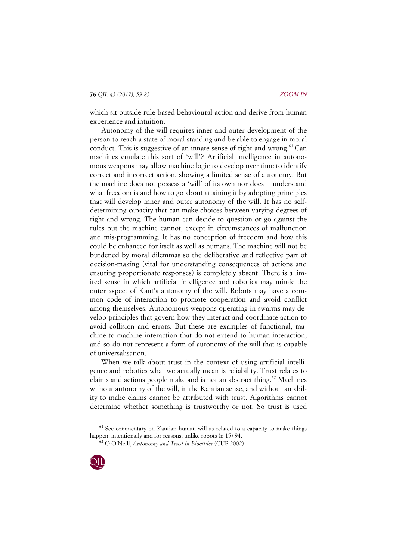which sit outside rule-based behavioural action and derive from human experience and intuition.

Autonomy of the will requires inner and outer development of the person to reach a state of moral standing and be able to engage in moral conduct. This is suggestive of an innate sense of right and wrong.<sup>61</sup> Can machines emulate this sort of 'will'? Artificial intelligence in autonomous weapons may allow machine logic to develop over time to identify correct and incorrect action, showing a limited sense of autonomy. But the machine does not possess a 'will' of its own nor does it understand what freedom is and how to go about attaining it by adopting principles that will develop inner and outer autonomy of the will. It has no selfdetermining capacity that can make choices between varying degrees of right and wrong. The human can decide to question or go against the rules but the machine cannot, except in circumstances of malfunction and mis-programming. It has no conception of freedom and how this could be enhanced for itself as well as humans. The machine will not be burdened by moral dilemmas so the deliberative and reflective part of decision-making (vital for understanding consequences of actions and ensuring proportionate responses) is completely absent. There is a limited sense in which artificial intelligence and robotics may mimic the outer aspect of Kant's autonomy of the will. Robots may have a common code of interaction to promote cooperation and avoid conflict among themselves. Autonomous weapons operating in swarms may develop principles that govern how they interact and coordinate action to avoid collision and errors. But these are examples of functional, machine-to-machine interaction that do not extend to human interaction, and so do not represent a form of autonomy of the will that is capable of universalisation.

When we talk about trust in the context of using artificial intelligence and robotics what we actually mean is reliability. Trust relates to claims and actions people make and is not an abstract thing.<sup>62</sup> Machines without autonomy of the will, in the Kantian sense, and without an ability to make claims cannot be attributed with trust. Algorithms cannot determine whether something is trustworthy or not. So trust is used

<sup>62</sup> O O'Neill, *Autonomy and Trust in Bioethics* (CUP 2002)



 $61$  See commentary on Kantian human will as related to a capacity to make things happen, intentionally and for reasons, unlike robots (n 15) 94.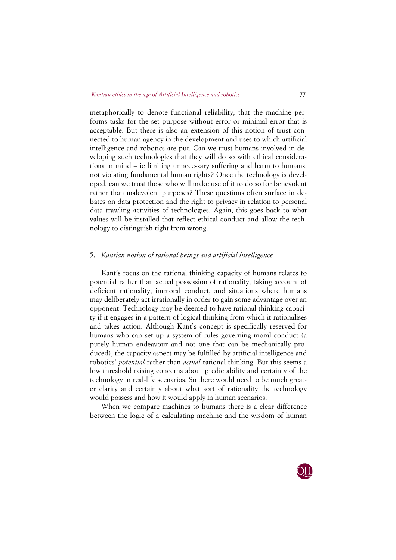metaphorically to denote functional reliability; that the machine performs tasks for the set purpose without error or minimal error that is acceptable. But there is also an extension of this notion of trust connected to human agency in the development and uses to which artificial intelligence and robotics are put. Can we trust humans involved in developing such technologies that they will do so with ethical considerations in mind – ie limiting unnecessary suffering and harm to humans, not violating fundamental human rights? Once the technology is developed, can we trust those who will make use of it to do so for benevolent rather than malevolent purposes? These questions often surface in debates on data protection and the right to privacy in relation to personal data trawling activities of technologies. Again, this goes back to what values will be installed that reflect ethical conduct and allow the technology to distinguish right from wrong.

#### 5. *Kantian notion of rational beings and artificial intelligence*

Kant's focus on the rational thinking capacity of humans relates to potential rather than actual possession of rationality, taking account of deficient rationality, immoral conduct, and situations where humans may deliberately act irrationally in order to gain some advantage over an opponent. Technology may be deemed to have rational thinking capacity if it engages in a pattern of logical thinking from which it rationalises and takes action. Although Kant's concept is specifically reserved for humans who can set up a system of rules governing moral conduct (a purely human endeavour and not one that can be mechanically produced), the capacity aspect may be fulfilled by artificial intelligence and robotics' *potential* rather than *actual* rational thinking. But this seems a low threshold raising concerns about predictability and certainty of the technology in real-life scenarios. So there would need to be much greater clarity and certainty about what sort of rationality the technology would possess and how it would apply in human scenarios.

When we compare machines to humans there is a clear difference between the logic of a calculating machine and the wisdom of human

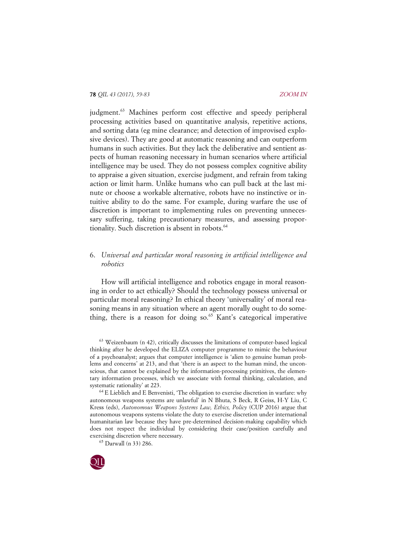judgment. <sup>63</sup> Machines perform cost effective and speedy peripheral processing activities based on quantitative analysis, repetitive actions, and sorting data (eg mine clearance; and detection of improvised explosive devices). They are good at automatic reasoning and can outperform humans in such activities. But they lack the deliberative and sentient aspects of human reasoning necessary in human scenarios where artificial intelligence may be used. They do not possess complex cognitive ability to appraise a given situation, exercise judgment, and refrain from taking action or limit harm. Unlike humans who can pull back at the last minute or choose a workable alternative, robots have no instinctive or intuitive ability to do the same. For example, during warfare the use of discretion is important to implementing rules on preventing unnecessary suffering, taking precautionary measures, and assessing proportionality. Such discretion is absent in robots.<sup>64</sup>

# 6. *Universal and particular moral reasoning in artificial intelligence and robotics*

How will artificial intelligence and robotics engage in moral reasoning in order to act ethically? Should the technology possess universal or particular moral reasoning? In ethical theory 'universality' of moral reasoning means in any situation where an agent morally ought to do something, there is a reason for doing so.<sup>65</sup> Kant's categorical imperative

 $63$  Weizenbaum (n 42), critically discusses the limitations of computer-based logical thinking after he developed the ELIZA computer programme to mimic the behaviour of a psychoanalyst; argues that computer intelligence is 'alien to genuine human problems and concerns' at 213, and that 'there is an aspect to the human mind, the unconscious, that cannot be explained by the information-processing primitives, the elementary information processes, which we associate with formal thinking, calculation, and systematic rationality' at 223.

<sup>65</sup> Darwall (n 33) 286.



<sup>64</sup> E Lieblich and E Benvenisti, 'The obligation to exercise discretion in warfare: why autonomous weapons systems are unlawful' in N Bhuta, S Beck, R Geiss, H-Y Liu, C Kress (eds), *Autonomous Weapons Systems Law, Ethics, Policy* (CUP 2016) argue that autonomous weapons systems violate the duty to exercise discretion under international humanitarian law because they have pre-determined decision-making capability which does not respect the individual by considering their case/position carefully and exercising discretion where necessary.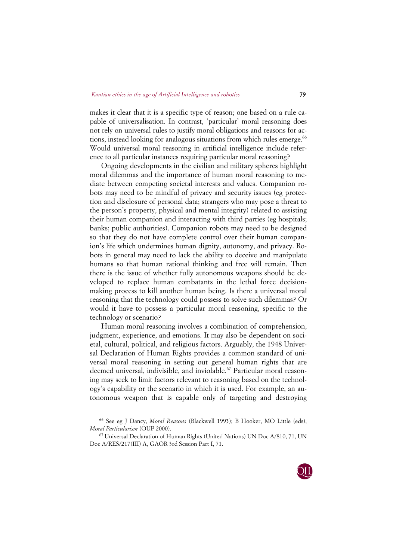makes it clear that it is a specific type of reason; one based on a rule capable of universalisation. In contrast, 'particular' moral reasoning does not rely on universal rules to justify moral obligations and reasons for actions, instead looking for analogous situations from which rules emerge.<sup>66</sup> Would universal moral reasoning in artificial intelligence include reference to all particular instances requiring particular moral reasoning?

Ongoing developments in the civilian and military spheres highlight moral dilemmas and the importance of human moral reasoning to mediate between competing societal interests and values. Companion robots may need to be mindful of privacy and security issues (eg protection and disclosure of personal data; strangers who may pose a threat to the person's property, physical and mental integrity) related to assisting their human companion and interacting with third parties (eg hospitals; banks; public authorities). Companion robots may need to be designed so that they do not have complete control over their human companion's life which undermines human dignity, autonomy, and privacy. Robots in general may need to lack the ability to deceive and manipulate humans so that human rational thinking and free will remain. Then there is the issue of whether fully autonomous weapons should be developed to replace human combatants in the lethal force decisionmaking process to kill another human being. Is there a universal moral reasoning that the technology could possess to solve such dilemmas? Or would it have to possess a particular moral reasoning, specific to the technology or scenario?

Human moral reasoning involves a combination of comprehension, judgment, experience, and emotions. It may also be dependent on societal, cultural, political, and religious factors. Arguably, the 1948 Universal Declaration of Human Rights provides a common standard of universal moral reasoning in setting out general human rights that are deemed universal, indivisible, and inviolable.<sup>67</sup> Particular moral reasoning may seek to limit factors relevant to reasoning based on the technology's capability or the scenario in which it is used. For example, an autonomous weapon that is capable only of targeting and destroying



<sup>66</sup> See eg J Dancy, *Moral Reasons* (Blackwell 1993); B Hooker, MO Little (eds), *Moral Particularism* (OUP 2000).

<sup>67</sup> Universal Declaration of Human Rights (United Nations) UN Doc A/810, 71, UN Doc A/RES/217(III) A, GAOR 3rd Session Part I, 71.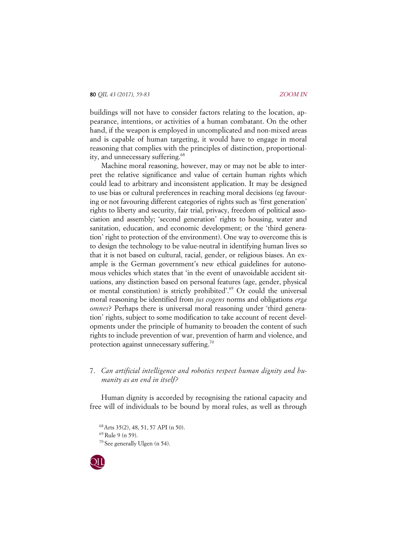buildings will not have to consider factors relating to the location, appearance, intentions, or activities of a human combatant. On the other hand, if the weapon is employed in uncomplicated and non-mixed areas and is capable of human targeting, it would have to engage in moral reasoning that complies with the principles of distinction, proportionality, and unnecessary suffering. 68

Machine moral reasoning, however, may or may not be able to interpret the relative significance and value of certain human rights which could lead to arbitrary and inconsistent application. It may be designed to use bias or cultural preferences in reaching moral decisions (eg favouring or not favouring different categories of rights such as 'first generation' rights to liberty and security, fair trial, privacy, freedom of political association and assembly; 'second generation' rights to housing, water and sanitation, education, and economic development; or the 'third generation' right to protection of the environment). One way to overcome this is to design the technology to be value-neutral in identifying human lives so that it is not based on cultural, racial, gender, or religious biases. An example is the German government's new ethical guidelines for autonomous vehicles which states that 'in the event of unavoidable accident situations, any distinction based on personal features (age, gender, physical or mental constitution) is strictly prohibited'.69 Or could the universal moral reasoning be identified from *jus cogens* norms and obligations *erga omnes*? Perhaps there is universal moral reasoning under 'third generation' rights, subject to some modification to take account of recent developments under the principle of humanity to broaden the content of such rights to include prevention of war, prevention of harm and violence, and protection against unnecessary suffering.<sup>70</sup>

# 7. *Can artificial intelligence and robotics respect human dignity and humanity as an end in itself?*

Human dignity is accorded by recognising the rational capacity and free will of individuals to be bound by moral rules, as well as through

<sup>68</sup>Arts 35(2), 48, 51, 57 API (n 50).  $69$  Rule 9 (n 59). <sup>70</sup> See generally Ulgen (n 54).

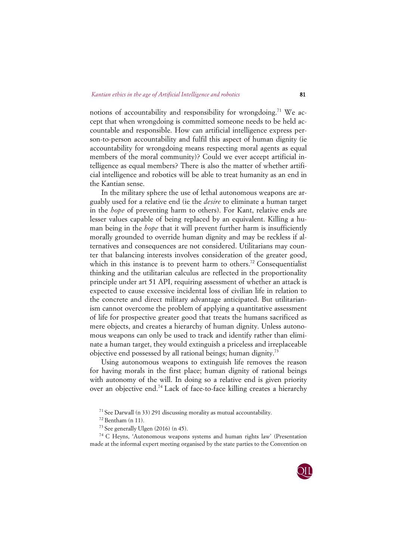notions of accountability and responsibility for wrongdoing.<sup>71</sup> We accept that when wrongdoing is committed someone needs to be held accountable and responsible. How can artificial intelligence express person-to-person accountability and fulfil this aspect of human dignity (ie accountability for wrongdoing means respecting moral agents as equal members of the moral community)? Could we ever accept artificial intelligence as equal members? There is also the matter of whether artificial intelligence and robotics will be able to treat humanity as an end in the Kantian sense.

In the military sphere the use of lethal autonomous weapons are arguably used for a relative end (ie the *desire* to eliminate a human target in the *hope* of preventing harm to others). For Kant, relative ends are lesser values capable of being replaced by an equivalent. Killing a human being in the *hope* that it will prevent further harm is insufficiently morally grounded to override human dignity and may be reckless if alternatives and consequences are not considered. Utilitarians may counter that balancing interests involves consideration of the greater good, which in this instance is to prevent harm to others.<sup>72</sup> Consequentialist thinking and the utilitarian calculus are reflected in the proportionality principle under art 51 API, requiring assessment of whether an attack is expected to cause excessive incidental loss of civilian life in relation to the concrete and direct military advantage anticipated. But utilitarianism cannot overcome the problem of applying a quantitative assessment of life for prospective greater good that treats the humans sacrificed as mere objects, and creates a hierarchy of human dignity. Unless autonomous weapons can only be used to track and identify rather than eliminate a human target, they would extinguish a priceless and irreplaceable objective end possessed by all rational beings; human dignity.73

Using autonomous weapons to extinguish life removes the reason for having morals in the first place; human dignity of rational beings with autonomy of the will. In doing so a relative end is given priority over an objective end.<sup>74</sup> Lack of face-to-face killing creates a hierarchy

<sup>74</sup> C Heyns, 'Autonomous weapons systems and human rights law' (Presentation made at the informal expert meeting organised by the state parties to the Convention on



<sup>71</sup> See Darwall (n 33) 291 discussing morality as mutual accountability.

 $72$  Bentham (n 11).

 $73$  See generally Ulgen (2016) (n 45).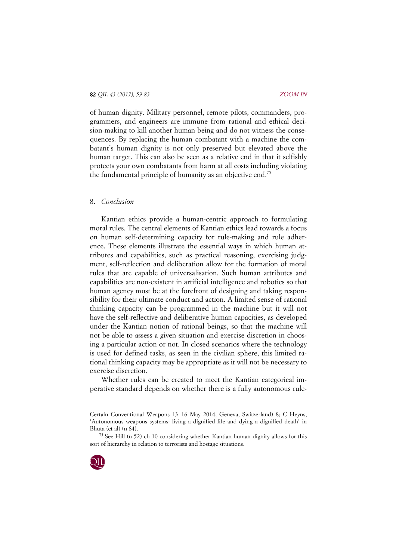of human dignity. Military personnel, remote pilots, commanders, programmers, and engineers are immune from rational and ethical decision-making to kill another human being and do not witness the consequences. By replacing the human combatant with a machine the combatant's human dignity is not only preserved but elevated above the human target. This can also be seen as a relative end in that it selfishly protects your own combatants from harm at all costs including violating the fundamental principle of humanity as an objective end.<sup>75</sup>

#### 8. *Conclusion*

Kantian ethics provide a human-centric approach to formulating moral rules. The central elements of Kantian ethics lead towards a focus on human self-determining capacity for rule-making and rule adherence. These elements illustrate the essential ways in which human attributes and capabilities, such as practical reasoning, exercising judgment, self-reflection and deliberation allow for the formation of moral rules that are capable of universalisation. Such human attributes and capabilities are non-existent in artificial intelligence and robotics so that human agency must be at the forefront of designing and taking responsibility for their ultimate conduct and action. A limited sense of rational thinking capacity can be programmed in the machine but it will not have the self-reflective and deliberative human capacities, as developed under the Kantian notion of rational beings, so that the machine will not be able to assess a given situation and exercise discretion in choosing a particular action or not. In closed scenarios where the technology is used for defined tasks, as seen in the civilian sphere, this limited rational thinking capacity may be appropriate as it will not be necessary to exercise discretion.

Whether rules can be created to meet the Kantian categorical imperative standard depends on whether there is a fully autonomous rule-

<sup>75</sup> See Hill (n 52) ch 10 considering whether Kantian human dignity allows for this sort of hierarchy in relation to terrorists and hostage situations.



Certain Conventional Weapons 13–16 May 2014, Geneva, Switzerland) 8; C Heyns, 'Autonomous weapons systems: living a dignified life and dying a dignified death' in Bhuta (et al) (n 64).